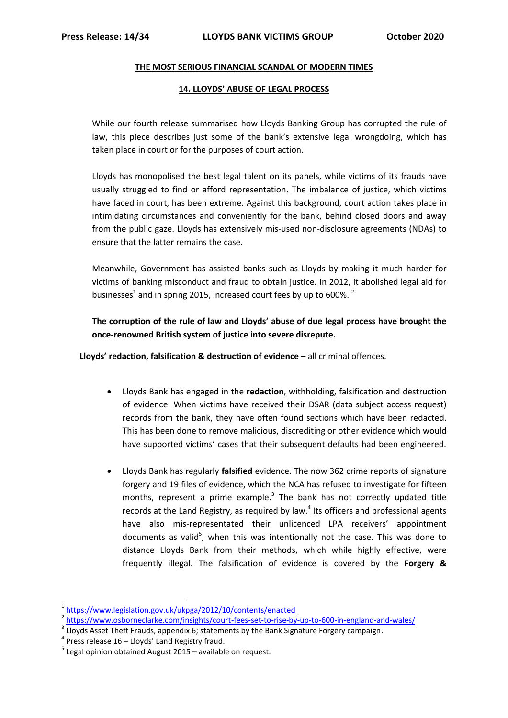### **THE MOST SERIOUS FINANCIAL SCANDAL OF MODERN TIMES**

### **14. LLOYDS' ABUSE OF LEGAL PROCESS**

While our fourth release summarised how Lloyds Banking Group has corrupted the rule of law, this piece describes just some of the bank's extensive legal wrongdoing, which has taken place in court or for the purposes of court action.

Lloyds has monopolised the best legal talent on its panels, while victims of its frauds have usually struggled to find or afford representation. The imbalance of justice, which victims have faced in court, has been extreme. Against this background, court action takes place in intimidating circumstances and conveniently for the bank, behind closed doors and away from the public gaze. Lloyds has extensively mis-used non-disclosure agreements (NDAs) to ensure that the latter remains the case.

Meanwhile, Government has assisted banks such as Lloyds by making it much harder for victims of banking misconduct and fraud to obtain justice. In 2012, it abolished legal aid for businesses<sup>1</sup> and in spring 2015, increased court fees by up to 600%.<sup>2</sup>

**The corruption of the rule of law and Lloyds' abuse of due legal process have brought the once-renowned British system of justice into severe disrepute.**

**Lloyds' redaction, falsification & destruction of evidence** – all criminal offences.

- Lloyds Bank has engaged in the **redaction**, withholding, falsification and destruction of evidence. When victims have received their DSAR (data subject access request) records from the bank, they have often found sections which have been redacted. This has been done to remove malicious, discrediting or other evidence which would have supported victims' cases that their subsequent defaults had been engineered.
- Lloyds Bank has regularly **falsified** evidence. The now 362 crime reports of signature forgery and 19 files of evidence, which the NCA has refused to investigate for fifteen months, represent a prime example. $3$  The bank has not correctly updated title records at the Land Registry, as required by law. $<sup>4</sup>$  Its officers and professional agents</sup> have also mis-representated their unlicenced LPA receivers' appointment documents as valid<sup>5</sup>, when this was intentionally not the case. This was done to distance Lloyds Bank from their methods, which while highly effective, were frequently illegal. The falsification of evidence is covered by the **Forgery &**

 $\overline{a}$ 

<sup>&</sup>lt;sup>1</sup><https://www.legislation.gov.uk/ukpga/2012/10/contents/enacted>

<sup>&</sup>lt;sup>2</sup> <https://www.osborneclarke.com/insights/court-fees-set-to-rise-by-up-to-600-in-england-and-wales/>

 $3$  Lloyds Asset Theft Frauds, appendix 6; statements by the Bank Signature Forgery campaign.

<sup>&</sup>lt;sup>4</sup> Press release 16 - Lloyds' Land Registry fraud.

 $<sup>5</sup>$  Legal opinion obtained August 2015 – available on request.</sup>